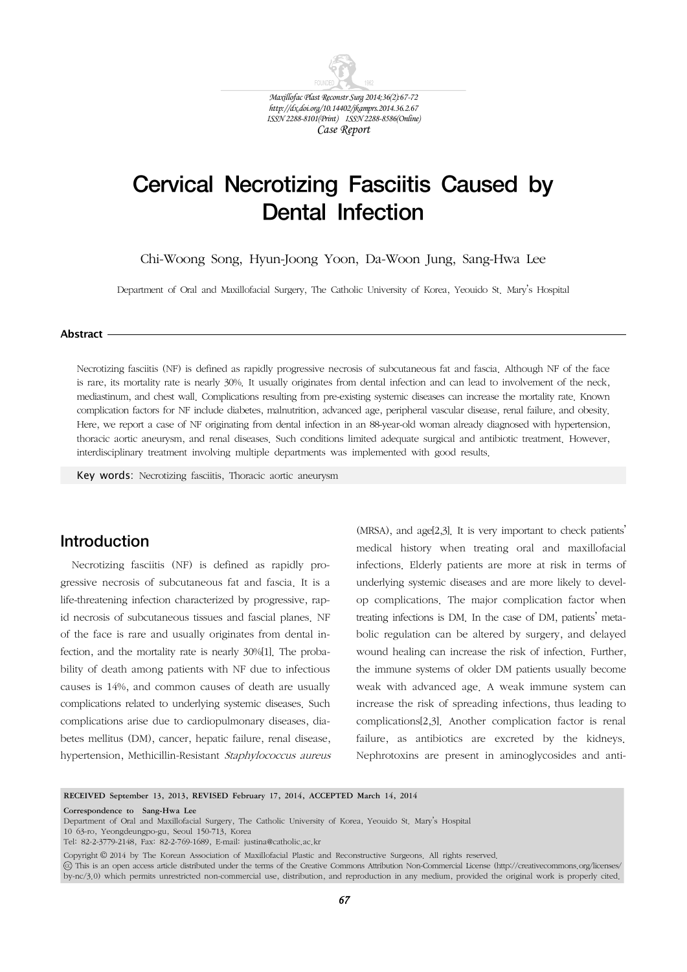

# Cervical Necrotizing Fasciitis Caused by Dental Infection

Chi-Woong Song, Hyun-Joong Yoon, Da-Woon Jung, Sang-Hwa Lee

Department of Oral and Maxillofacial Surgery, The Catholic University of Korea, Yeouido St. Mary's Hospital

#### **Abstract**

Necrotizing fasciitis (NF) is defined as rapidly progressive necrosis of subcutaneous fat and fascia. Although NF of the face is rare, its mortality rate is nearly 30%. It usually originates from dental infection and can lead to involvement of the neck, mediastinum, and chest wall. Complications resulting from pre-existing systemic diseases can increase the mortality rate. Known complication factors for NF include diabetes, malnutrition, advanced age, peripheral vascular disease, renal failure, and obesity. Here, we report a case of NF originating from dental infection in an 88-year-old woman already diagnosed with hypertension, thoracic aortic aneurysm, and renal diseases. Such conditions limited adequate surgical and antibiotic treatment. However, interdisciplinary treatment involving multiple departments was implemented with good results.

Key words: Necrotizing fasciitis, Thoracic aortic aneurysm

## Introduction

Necrotizing fasciitis (NF) is defined as rapidly progressive necrosis of subcutaneous fat and fascia. It is a life-threatening infection characterized by progressive, rapid necrosis of subcutaneous tissues and fascial planes. NF of the face is rare and usually originates from dental infection, and the mortality rate is nearly 30%[1]. The probability of death among patients with NF due to infectious causes is 14%, and common causes of death are usually complications related to underlying systemic diseases. Such complications arise due to cardiopulmonary diseases, diabetes mellitus (DM), cancer, hepatic failure, renal disease, hypertension, Methicillin-Resistant Staphylococcus aureus

(MRSA), and age[2,3]. It is very important to check patients' medical history when treating oral and maxillofacial infections. Elderly patients are more at risk in terms of underlying systemic diseases and are more likely to develop complications. The major complication factor when treating infections is DM. In the case of DM, patients' metabolic regulation can be altered by surgery, and delayed wound healing can increase the risk of infection. Further, the immune systems of older DM patients usually become weak with advanced age. A weak immune system can increase the risk of spreading infections, thus leading to complications[2,3]. Another complication factor is renal failure, as antibiotics are excreted by the kidneys. Nephrotoxins are present in aminoglycosides and anti-

RECEIVED September 13, 2013, REVISED February 17, 2014, ACCEPTED March 14, 2014

Correspondence to Sang-Hwa Lee

Department of Oral and Maxillofacial Surgery, The Catholic University of Korea, Yeouido St. Mary's Hospital

<sup>10 63-</sup>ro, Yeongdeungpo-gu, Seoul 150-713, Korea

Tel: 82-2-3779-2148, Fax: 82-2-769-1689, E-mail: justina@catholic.ac.kr

Copyright © 2014 by The Korean Association of Maxillofacial Plastic and Reconstructive Surgeons. All rights reserved.

CC This is an open access article distributed under the terms of the Creative Commons Attribution Non-Commercial License (http://creativecommons.org/licenses/ by-nc/3.0) which permits unrestricted non-commercial use, distribution, and reproduction in any medium, provided the original work is properly cited.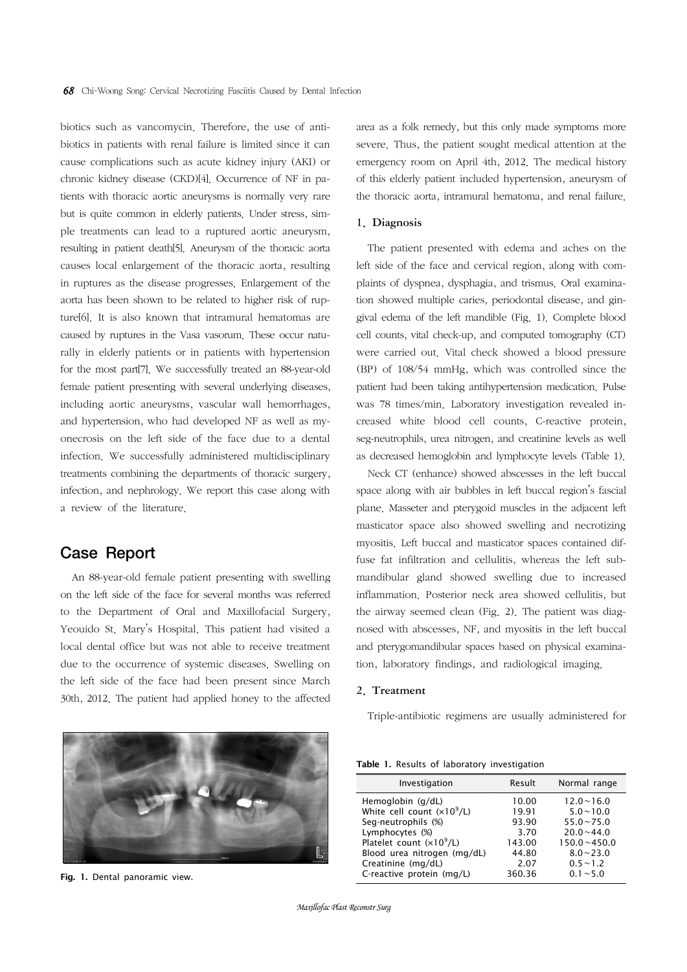biotics such as vancomycin. Therefore, the use of antibiotics in patients with renal failure is limited since it can cause complications such as acute kidney injury (AKI) or chronic kidney disease (CKD)[4]. Occurrence of NF in patients with thoracic aortic aneurysms is normally very rare but is quite common in elderly patients. Under stress, simple treatments can lead to a ruptured aortic aneurysm, resulting in patient death[5]. Aneurysm of the thoracic aorta causes local enlargement of the thoracic aorta, resulting in ruptures as the disease progresses. Enlargement of the aorta has been shown to be related to higher risk of rupture[6]. It is also known that intramural hematomas are caused by ruptures in the Vasa vasorum. These occur naturally in elderly patients or in patients with hypertension for the most part[7]. We successfully treated an 88-year-old female patient presenting with several underlying diseases, including aortic aneurysms, vascular wall hemorrhages, and hypertension, who had developed NF as well as myonecrosis on the left side of the face due to a dental infection. We successfully administered multidisciplinary treatments combining the departments of thoracic surgery, infection, and nephrology. We report this case along with a review of the literature.

### Case Report

An 88-year-old female patient presenting with swelling on the left side of the face for several months was referred to the Department of Oral and Maxillofacial Surgery, Yeouido St. Mary's Hospital. This patient had visited a local dental office but was not able to receive treatment due to the occurrence of systemic diseases. Swelling on the left side of the face had been present since March 30th, 2012. The patient had applied honey to the affected

**Fig. 1.** Dental panoramic view.

area as a folk remedy, but this only made symptoms more severe. Thus, the patient sought medical attention at the emergency room on April 4th, 2012. The medical history of this elderly patient included hypertension, aneurysm of the thoracic aorta, intramural hematoma, and renal failure.

#### 1. Diagnosis

The patient presented with edema and aches on the left side of the face and cervical region, along with complaints of dyspnea, dysphagia, and trismus. Oral examination showed multiple caries, periodontal disease, and gingival edema of the left mandible (Fig. 1). Complete blood cell counts, vital check-up, and computed tomography (CT) were carried out. Vital check showed a blood pressure (BP) of 108/54 mmHg, which was controlled since the patient had been taking antihypertension medication. Pulse was 78 times/min. Laboratory investigation revealed increased white blood cell counts, C-reactive protein, seg-neutrophils, urea nitrogen, and creatinine levels as well as decreased hemoglobin and lymphocyte levels (Table 1).

Neck CT (enhance) showed abscesses in the left buccal space along with air bubbles in left buccal region's fascial plane. Masseter and pterygoid muscles in the adjacent left masticator space also showed swelling and necrotizing myositis. Left buccal and masticator spaces contained diffuse fat infiltration and cellulitis, whereas the left submandibular gland showed swelling due to increased inflammation. Posterior neck area showed cellulitis, but the airway seemed clean (Fig. 2). The patient was diagnosed with abscesses, NF, and myositis in the left buccal and pterygomandibular spaces based on physical examination, laboratory findings, and radiological imaging.

#### 2. Treatment

Triple-antibiotic regimens are usually administered for

**Table 1.** Results of laboratory investigation

| Investigation                                     | Result         | Normal range                          |
|---------------------------------------------------|----------------|---------------------------------------|
| Hemoglobin (g/dL)<br>White cell count $(x10^9/L)$ | 10.00<br>19.91 | $12.0 \times 16.0$<br>$5.0 \sim 10.0$ |
|                                                   |                |                                       |
| Seg-neutrophils (%)                               | 93.90          | $55.0 \times 75.0$                    |
| Lymphocytes (%)                                   | 3.70           | $200~\sim 440$                        |
| Platelet count $(x10^9/L)$                        | 143.00         | $150.0 \times 450.0$                  |
| Blood urea nitrogen (mg/dL)                       | 44.80          | $8.0 \sim 23.0$                       |
| Creatinine (mg/dL)                                | 2.07           | $0.5 \sim 1.2$                        |
| C-reactive protein (mg/L)                         | 360.36         | $0.1 - 5.0$                           |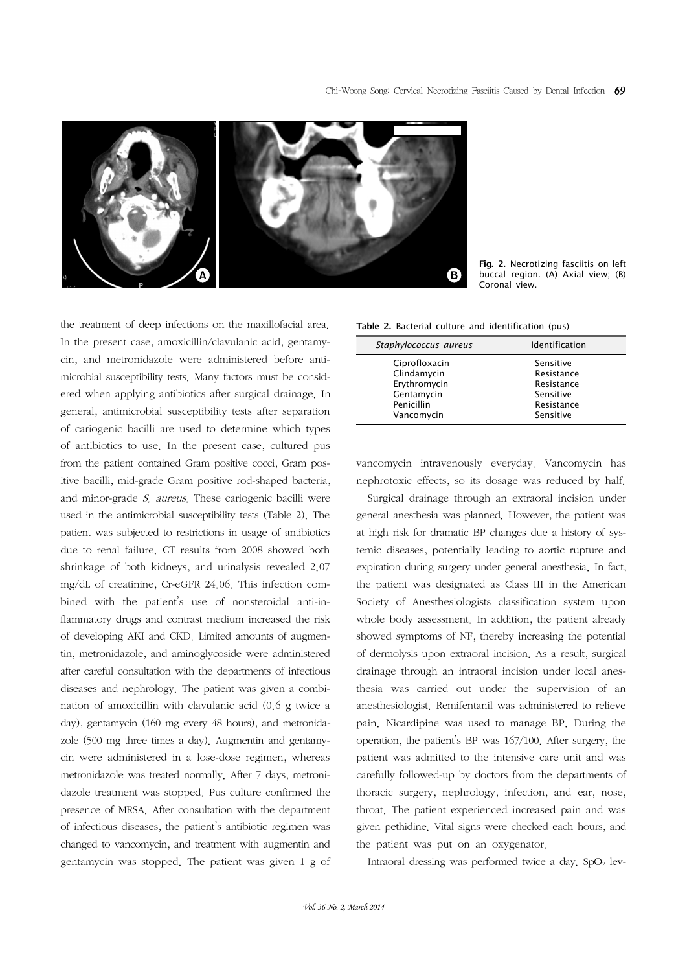

**Fig. 2.** Necrotizing fasciitis on left buccal region. (A) Axial view; (B) Coronal view.

**Table 2.** Bacterial culture and identification (pus)

| Staphylococcus aureus | <b>Identification</b> |  |
|-----------------------|-----------------------|--|
| Ciprofloxacin         | Sensitive             |  |
| Clindamycin           | Resistance            |  |
| Erythromycin          | Resistance            |  |
| Gentamycin            | Sensitive             |  |
| Penicillin            | Resistance            |  |
| Vancomycin            | Sensitive             |  |

the treatment of deep infections on the maxillofacial area. In the present case, amoxicillin/clavulanic acid, gentamycin, and metronidazole were administered before antimicrobial susceptibility tests. Many factors must be considered when applying antibiotics after surgical drainage. In general, antimicrobial susceptibility tests after separation of cariogenic bacilli are used to determine which types of antibiotics to use. In the present case, cultured pus from the patient contained Gram positive cocci, Gram positive bacilli, mid-grade Gram positive rod-shaped bacteria, and minor-grade S. aureus. These cariogenic bacilli were used in the antimicrobial susceptibility tests (Table 2). The patient was subjected to restrictions in usage of antibiotics due to renal failure. CT results from 2008 showed both shrinkage of both kidneys, and urinalysis revealed 2.07 mg/dL of creatinine, Cr-eGFR 24.06. This infection combined with the patient's use of nonsteroidal anti-inflammatory drugs and contrast medium increased the risk of developing AKI and CKD. Limited amounts of augmentin, metronidazole, and aminoglycoside were administered after careful consultation with the departments of infectious diseases and nephrology. The patient was given a combination of amoxicillin with clavulanic acid (0.6 g twice a day), gentamycin (160 mg every 48 hours), and metronidazole (500 mg three times a day). Augmentin and gentamycin were administered in a lose-dose regimen, whereas metronidazole was treated normally. After 7 days, metronidazole treatment was stopped. Pus culture confirmed the presence of MRSA. After consultation with the department of infectious diseases, the patient's antibiotic regimen was changed to vancomycin, and treatment with augmentin and gentamycin was stopped. The patient was given 1 g of

vancomycin intravenously everyday. Vancomycin has nephrotoxic effects, so its dosage was reduced by half.

Surgical drainage through an extraoral incision under general anesthesia was planned. However, the patient was at high risk for dramatic BP changes due a history of systemic diseases, potentially leading to aortic rupture and expiration during surgery under general anesthesia. In fact, the patient was designated as Class III in the American Society of Anesthesiologists classification system upon whole body assessment. In addition, the patient already showed symptoms of NF, thereby increasing the potential of dermolysis upon extraoral incision. As a result, surgical drainage through an intraoral incision under local anesthesia was carried out under the supervision of an anesthesiologist. Remifentanil was administered to relieve pain. Nicardipine was used to manage BP. During the operation, the patient's BP was 167/100. After surgery, the patient was admitted to the intensive care unit and was carefully followed-up by doctors from the departments of thoracic surgery, nephrology, infection, and ear, nose, throat. The patient experienced increased pain and was given pethidine. Vital signs were checked each hours, and the patient was put on an oxygenator.

Intraoral dressing was performed twice a day.  $SpO<sub>2</sub>$  lev-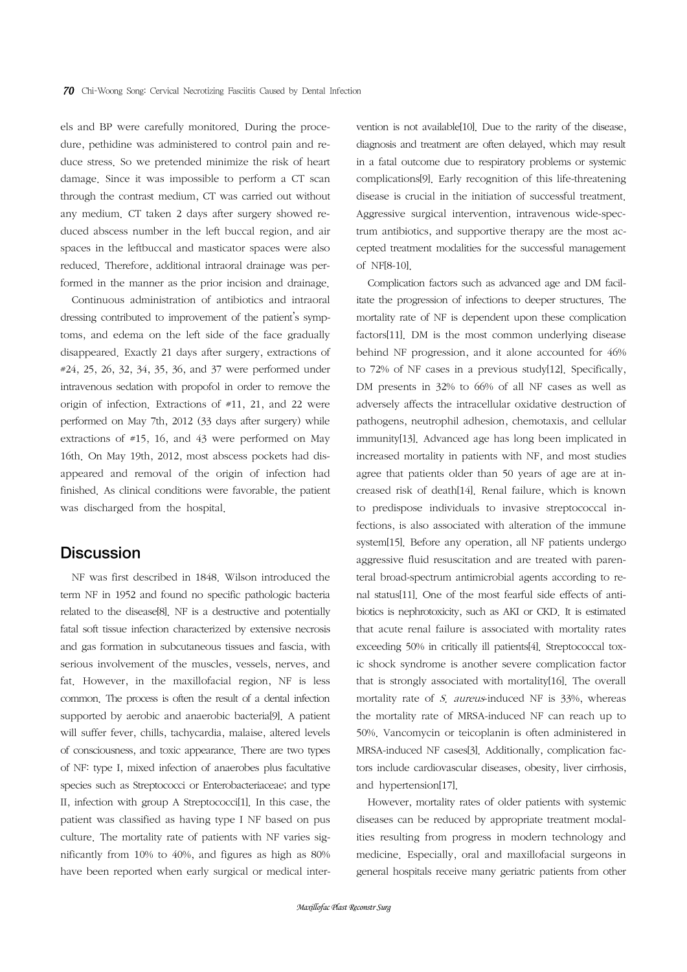els and BP were carefully monitored. During the procedure, pethidine was administered to control pain and reduce stress. So we pretended minimize the risk of heart damage. Since it was impossible to perform a CT scan through the contrast medium, CT was carried out without any medium. CT taken 2 days after surgery showed reduced abscess number in the left buccal region, and air spaces in the leftbuccal and masticator spaces were also reduced. Therefore, additional intraoral drainage was performed in the manner as the prior incision and drainage.

Continuous administration of antibiotics and intraoral dressing contributed to improvement of the patient's symptoms, and edema on the left side of the face gradually disappeared. Exactly 21 days after surgery, extractions of #24, 25, 26, 32, 34, 35, 36, and 37 were performed under intravenous sedation with propofol in order to remove the origin of infection. Extractions of #11, 21, and 22 were performed on May 7th, 2012 (33 days after surgery) while extractions of #15, 16, and 43 were performed on May 16th. On May 19th, 2012, most abscess pockets had disappeared and removal of the origin of infection had finished. As clinical conditions were favorable, the patient was discharged from the hospital.

### **Discussion**

NF was first described in 1848. Wilson introduced the term NF in 1952 and found no specific pathologic bacteria related to the disease[8]. NF is a destructive and potentially fatal soft tissue infection characterized by extensive necrosis and gas formation in subcutaneous tissues and fascia, with serious involvement of the muscles, vessels, nerves, and fat. However, in the maxillofacial region, NF is less common. The process is often the result of a dental infection supported by aerobic and anaerobic bacteria[9]. A patient will suffer fever, chills, tachycardia, malaise, altered levels of consciousness, and toxic appearance. There are two types of NF: type I, mixed infection of anaerobes plus facultative species such as Streptococci or Enterobacteriaceae; and type II, infection with group A Streptococci[1]. In this case, the patient was classified as having type I NF based on pus culture. The mortality rate of patients with NF varies significantly from 10% to 40%, and figures as high as 80% have been reported when early surgical or medical intervention is not available[10]. Due to the rarity of the disease, diagnosis and treatment are often delayed, which may result in a fatal outcome due to respiratory problems or systemic complications[9]. Early recognition of this life-threatening disease is crucial in the initiation of successful treatment. Aggressive surgical intervention, intravenous wide-spectrum antibiotics, and supportive therapy are the most accepted treatment modalities for the successful management of NF[8-10].

Complication factors such as advanced age and DM facilitate the progression of infections to deeper structures. The mortality rate of NF is dependent upon these complication factors[11]. DM is the most common underlying disease behind NF progression, and it alone accounted for 46% to 72% of NF cases in a previous study[12]. Specifically, DM presents in 32% to 66% of all NF cases as well as adversely affects the intracellular oxidative destruction of pathogens, neutrophil adhesion, chemotaxis, and cellular immunity[13]. Advanced age has long been implicated in increased mortality in patients with NF, and most studies agree that patients older than 50 years of age are at increased risk of death[14]. Renal failure, which is known to predispose individuals to invasive streptococcal infections, is also associated with alteration of the immune system[15]. Before any operation, all NF patients undergo aggressive fluid resuscitation and are treated with parenteral broad-spectrum antimicrobial agents according to renal status[11]. One of the most fearful side effects of antibiotics is nephrotoxicity, such as AKI or CKD. It is estimated that acute renal failure is associated with mortality rates exceeding 50% in critically ill patients[4]. Streptococcal toxic shock syndrome is another severe complication factor that is strongly associated with mortality[16]. The overall mortality rate of S. aureus-induced NF is 33%, whereas the mortality rate of MRSA-induced NF can reach up to 50%. Vancomycin or teicoplanin is often administered in MRSA-induced NF cases[3]. Additionally, complication factors include cardiovascular diseases, obesity, liver cirrhosis, and hypertension[17].

However, mortality rates of older patients with systemic diseases can be reduced by appropriate treatment modalities resulting from progress in modern technology and medicine. Especially, oral and maxillofacial surgeons in general hospitals receive many geriatric patients from other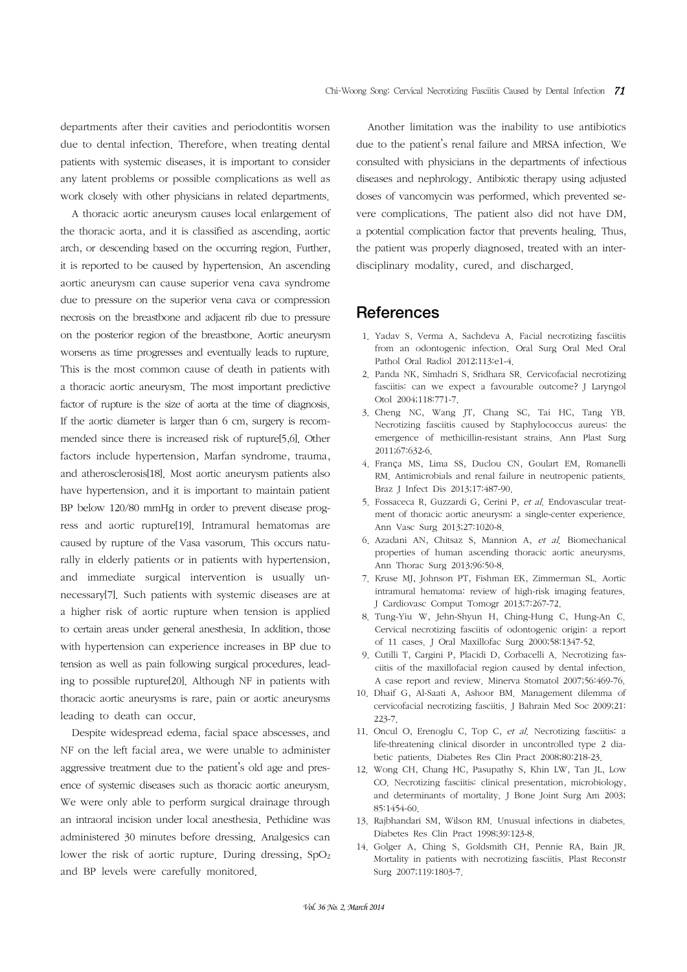departments after their cavities and periodontitis worsen due to dental infection. Therefore, when treating dental patients with systemic diseases, it is important to consider any latent problems or possible complications as well as work closely with other physicians in related departments.

A thoracic aortic aneurysm causes local enlargement of the thoracic aorta, and it is classified as ascending, aortic arch, or descending based on the occurring region. Further, it is reported to be caused by hypertension. An ascending aortic aneurysm can cause superior vena cava syndrome due to pressure on the superior vena cava or compression necrosis on the breastbone and adjacent rib due to pressure on the posterior region of the breastbone. Aortic aneurysm worsens as time progresses and eventually leads to rupture. This is the most common cause of death in patients with a thoracic aortic aneurysm. The most important predictive factor of rupture is the size of aorta at the time of diagnosis. If the aortic diameter is larger than 6 cm, surgery is recommended since there is increased risk of rupture[5,6]. Other factors include hypertension, Marfan syndrome, trauma, and atherosclerosis[18]. Most aortic aneurysm patients also have hypertension, and it is important to maintain patient BP below 120/80 mmHg in order to prevent disease progress and aortic rupture[19]. Intramural hematomas are caused by rupture of the Vasa vasorum. This occurs naturally in elderly patients or in patients with hypertension, and immediate surgical intervention is usually unnecessary[7]. Such patients with systemic diseases are at a higher risk of aortic rupture when tension is applied to certain areas under general anesthesia. In addition, those with hypertension can experience increases in BP due to tension as well as pain following surgical procedures, leading to possible rupture[20]. Although NF in patients with thoracic aortic aneurysms is rare, pain or aortic aneurysms leading to death can occur.

Despite widespread edema, facial space abscesses, and NF on the left facial area, we were unable to administer aggressive treatment due to the patient's old age and presence of systemic diseases such as thoracic aortic aneurysm. We were only able to perform surgical drainage through an intraoral incision under local anesthesia. Pethidine was administered 30 minutes before dressing. Analgesics can lower the risk of aortic rupture. During dressing,  $SpO<sub>2</sub>$ and BP levels were carefully monitored.

Another limitation was the inability to use antibiotics due to the patient's renal failure and MRSA infection. We consulted with physicians in the departments of infectious diseases and nephrology. Antibiotic therapy using adjusted doses of vancomycin was performed, which prevented severe complications. The patient also did not have DM, a potential complication factor that prevents healing. Thus, the patient was properly diagnosed, treated with an interdisciplinary modality, cured, and discharged.

### References

- 1. Yadav S, Verma A, Sachdeva A. Facial necrotizing fasciitis from an odontogenic infection. Oral Surg Oral Med Oral Pathol Oral Radiol 2012;113:e1-4.
- 2. Panda NK, Simhadri S, Sridhara SR. Cervicofacial necrotizing fasciitis: can we expect a favourable outcome? J Laryngol Otol 2004;118:771-7.
- 3. Cheng NC, Wang JT, Chang SC, Tai HC, Tang YB. Necrotizing fasciitis caused by Staphylococcus aureus: the emergence of methicillin-resistant strains. Ann Plast Surg 2011;67:632-6.
- 4. França MS, Lima SS, Duclou CN, Goulart EM, Romanelli RM. Antimicrobials and renal failure in neutropenic patients. Braz J Infect Dis 2013;17:487-90.
- 5. Fossaceca R, Guzzardi G, Cerini P, et al. Endovascular treatment of thoracic aortic aneurysm: a single-center experience. Ann Vasc Surg 2013;27:1020-8.
- 6. Azadani AN, Chitsaz S, Mannion A, et al. Biomechanical properties of human ascending thoracic aortic aneurysms. Ann Thorac Surg 2013;96:50-8.
- 7. Kruse MJ, Johnson PT, Fishman EK, Zimmerman SL. Aortic intramural hematoma: review of high-risk imaging features. J Cardiovasc Comput Tomogr 2013;7:267-72.
- 8. Tung-Yiu W, Jehn-Shyun H, Ching-Hung C, Hung-An C. Cervical necrotizing fasciitis of odontogenic origin: a report of 11 cases. J Oral Maxillofac Surg 2000;58:1347-52.
- 9. Cutilli T, Cargini P, Placidi D, Corbacelli A. Necrotizing fasciitis of the maxillofacial region caused by dental infection. A case report and review. Minerva Stomatol 2007;56:469-76.
- 10. Dhaif G, Al-Saati A, Ashoor BM. Management dilemma of cervicofacial necrotizing fasciitis. J Bahrain Med Soc 2009;21: 223-7.
- 11. Oncul O, Erenoglu C, Top C, et al. Necrotizing fasciitis: a life-threatening clinical disorder in uncontrolled type 2 diabetic patients. Diabetes Res Clin Pract 2008;80:218-23.
- 12. Wong CH, Chang HC, Pasupathy S, Khin LW, Tan JL, Low CO. Necrotizing fasciitis: clinical presentation, microbiology, and determinants of mortality. J Bone Joint Surg Am 2003; 85:1454-60.
- 13. Rajbhandari SM, Wilson RM. Unusual infections in diabetes. Diabetes Res Clin Pract 1998;39:123-8.
- 14. Golger A, Ching S, Goldsmith CH, Pennie RA, Bain JR. Mortality in patients with necrotizing fasciitis. Plast Reconstr Surg 2007;119:1803-7.